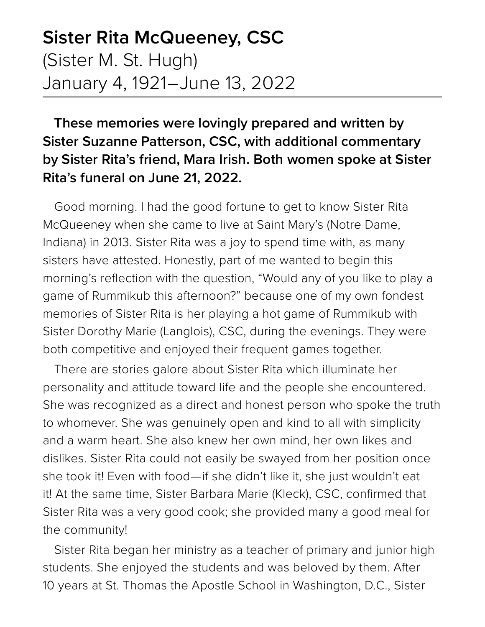## **Sister Rita McQueeney, CSC** (Sister M. St. Hugh) January 4, 1921–June 13, 2022

**These memories were lovingly prepared and written by Sister Suzanne Patterson, CSC, with additional commentary by Sister Rita's friend, Mara Irish. Both women spoke at Sister Rita's funeral on June 21, 2022.**

Good morning. I had the good fortune to get to know Sister Rita McQueeney when she came to live at Saint Mary's (Notre Dame, Indiana) in 2013. Sister Rita was a joy to spend time with, as many sisters have attested. Honestly, part of me wanted to begin this morning's reflection with the question, "Would any of you like to play a game of Rummikub this afternoon?" because one of my own fondest memories of Sister Rita is her playing a hot game of Rummikub with Sister Dorothy Marie (Langlois), CSC, during the evenings. They were both competitive and enjoyed their frequent games together.

There are stories galore about Sister Rita which illuminate her personality and attitude toward life and the people she encountered. She was recognized as a direct and honest person who spoke the truth to whomever. She was genuinely open and kind to all with simplicity and a warm heart. She also knew her own mind, her own likes and dislikes. Sister Rita could not easily be swayed from her position once she took it! Even with food—if she didn't like it, she just wouldn't eat it! At the same time, Sister Barbara Marie (Kleck), CSC, confirmed that Sister Rita was a very good cook; she provided many a good meal for the community!

Sister Rita began her ministry as a teacher of primary and junior high students. She enjoyed the students and was beloved by them. After 10 years at St. Thomas the Apostle School in Washington, D.C., Sister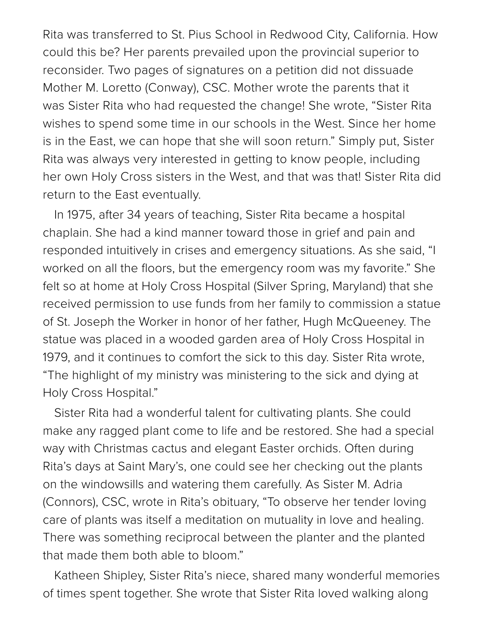Rita was transferred to St. Pius School in Redwood City, California. How could this be? Her parents prevailed upon the provincial superior to reconsider. Two pages of signatures on a petition did not dissuade Mother M. Loretto (Conway), CSC. Mother wrote the parents that it was Sister Rita who had requested the change! She wrote, "Sister Rita wishes to spend some time in our schools in the West. Since her home is in the East, we can hope that she will soon return." Simply put, Sister Rita was always very interested in getting to know people, including her own Holy Cross sisters in the West, and that was that! Sister Rita did return to the East eventually.

In 1975, after 34 years of teaching, Sister Rita became a hospital chaplain. She had a kind manner toward those in grief and pain and responded intuitively in crises and emergency situations. As she said, "I worked on all the floors, but the emergency room was my favorite." She felt so at home at Holy Cross Hospital (Silver Spring, Maryland) that she received permission to use funds from her family to commission a statue of St. Joseph the Worker in honor of her father, Hugh McQueeney. The statue was placed in a wooded garden area of Holy Cross Hospital in 1979, and it continues to comfort the sick to this day. Sister Rita wrote, "The highlight of my ministry was ministering to the sick and dying at Holy Cross Hospital."

Sister Rita had a wonderful talent for cultivating plants. She could make any ragged plant come to life and be restored. She had a special way with Christmas cactus and elegant Easter orchids. Often during Rita's days at Saint Mary's, one could see her checking out the plants on the windowsills and watering them carefully. As Sister M. Adria (Connors), CSC, wrote in Rita's obituary, "To observe her tender loving care of plants was itself a meditation on mutuality in love and healing. There was something reciprocal between the planter and the planted that made them both able to bloom."

Katheen Shipley, Sister Rita's niece, shared many wonderful memories of times spent together. She wrote that Sister Rita loved walking along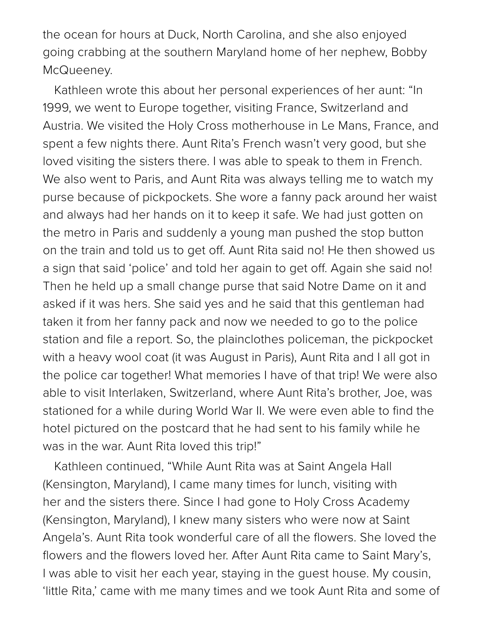the ocean for hours at Duck, North Carolina, and she also enjoyed going crabbing at the southern Maryland home of her nephew, Bobby McQueeney.

Kathleen wrote this about her personal experiences of her aunt: "In 1999, we went to Europe together, visiting France, Switzerland and Austria. We visited the Holy Cross motherhouse in Le Mans, France, and spent a few nights there. Aunt Rita's French wasn't very good, but she loved visiting the sisters there. I was able to speak to them in French. We also went to Paris, and Aunt Rita was always telling me to watch my purse because of pickpockets. She wore a fanny pack around her waist and always had her hands on it to keep it safe. We had just gotten on the metro in Paris and suddenly a young man pushed the stop button on the train and told us to get off. Aunt Rita said no! He then showed us a sign that said 'police' and told her again to get off. Again she said no! Then he held up a small change purse that said Notre Dame on it and asked if it was hers. She said yes and he said that this gentleman had taken it from her fanny pack and now we needed to go to the police station and file a report. So, the plainclothes policeman, the pickpocket with a heavy wool coat (it was August in Paris), Aunt Rita and I all got in the police car together! What memories I have of that trip! We were also able to visit Interlaken, Switzerland, where Aunt Rita's brother, Joe, was stationed for a while during World War II. We were even able to find the hotel pictured on the postcard that he had sent to his family while he was in the war. Aunt Rita loved this trip!"

Kathleen continued, "While Aunt Rita was at Saint Angela Hall (Kensington, Maryland), I came many times for lunch, visiting with her and the sisters there. Since I had gone to Holy Cross Academy (Kensington, Maryland), I knew many sisters who were now at Saint Angela's. Aunt Rita took wonderful care of all the flowers. She loved the flowers and the flowers loved her. After Aunt Rita came to Saint Mary's, I was able to visit her each year, staying in the guest house. My cousin, 'little Rita,' came with me many times and we took Aunt Rita and some of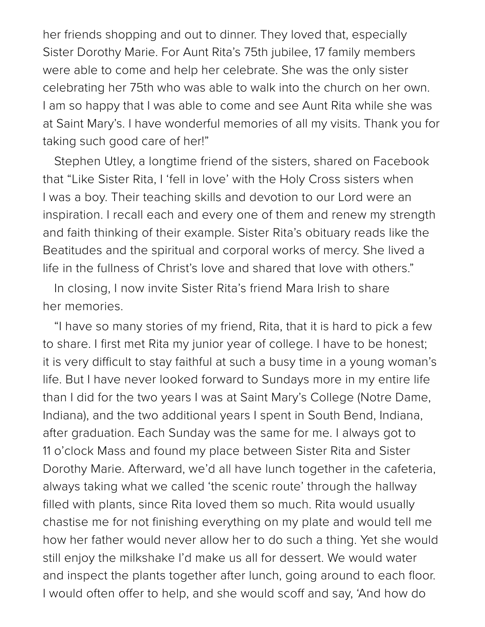her friends shopping and out to dinner. They loved that, especially Sister Dorothy Marie. For Aunt Rita's 75th jubilee, 17 family members were able to come and help her celebrate. She was the only sister celebrating her 75th who was able to walk into the church on her own. I am so happy that I was able to come and see Aunt Rita while she was at Saint Mary's. I have wonderful memories of all my visits. Thank you for taking such good care of her!"

Stephen Utley, a longtime friend of the sisters, shared on Facebook that "Like Sister Rita, I 'fell in love' with the Holy Cross sisters when I was a boy. Their teaching skills and devotion to our Lord were an inspiration. I recall each and every one of them and renew my strength and faith thinking of their example. Sister Rita's obituary reads like the Beatitudes and the spiritual and corporal works of mercy. She lived a life in the fullness of Christ's love and shared that love with others."

In closing, I now invite Sister Rita's friend Mara Irish to share her memories.

"I have so many stories of my friend, Rita, that it is hard to pick a few to share. I first met Rita my junior year of college. I have to be honest; it is very difficult to stay faithful at such a busy time in a young woman's life. But I have never looked forward to Sundays more in my entire life than I did for the two years I was at Saint Mary's College (Notre Dame, Indiana), and the two additional years I spent in South Bend, Indiana, after graduation. Each Sunday was the same for me. I always got to 11 o'clock Mass and found my place between Sister Rita and Sister Dorothy Marie. Afterward, we'd all have lunch together in the cafeteria, always taking what we called 'the scenic route' through the hallway filled with plants, since Rita loved them so much. Rita would usually chastise me for not finishing everything on my plate and would tell me how her father would never allow her to do such a thing. Yet she would still enjoy the milkshake I'd make us all for dessert. We would water and inspect the plants together after lunch, going around to each floor. I would often offer to help, and she would scoff and say, 'And how do